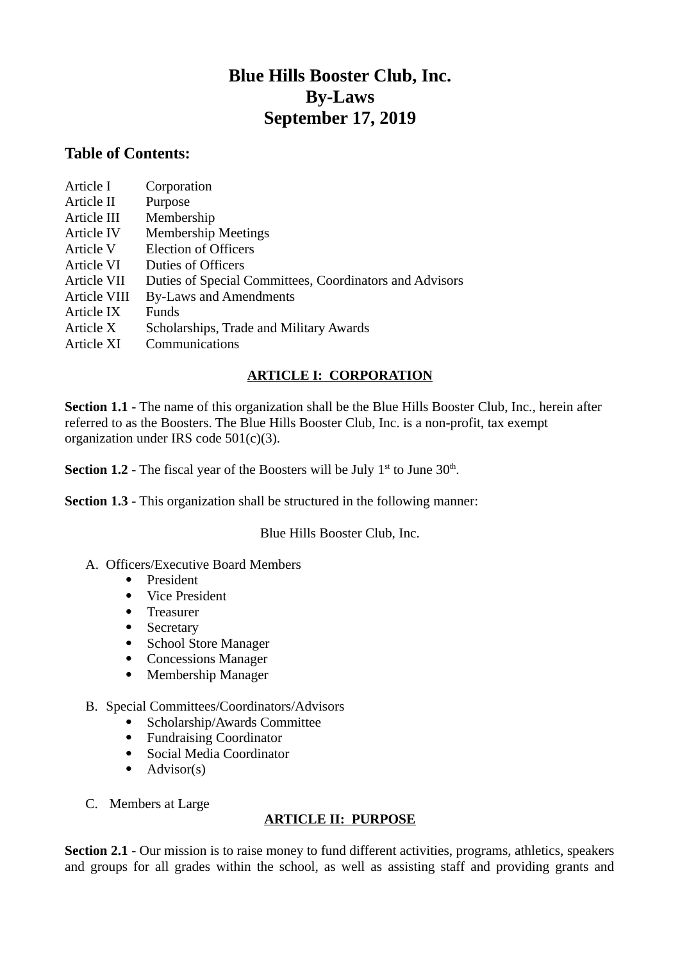## **Blue Hills Booster Club, Inc. By-Laws September 17, 2019**

## **Table of Contents:**

| Article I         | Corporation                                             |
|-------------------|---------------------------------------------------------|
| Article II        | Purpose                                                 |
| Article III       | Membership                                              |
| <b>Article IV</b> | <b>Membership Meetings</b>                              |
| Article V         | <b>Election of Officers</b>                             |
| Article VI        | <b>Duties of Officers</b>                               |
| Article VII       | Duties of Special Committees, Coordinators and Advisors |
| Article VIII      | <b>By-Laws and Amendments</b>                           |
| Article IX        | Funds                                                   |
| Article X         | Scholarships, Trade and Military Awards                 |
| Article XI        | Communications                                          |
|                   |                                                         |

## **ARTICLE I: CORPORATION**

**Section 1.1** - The name of this organization shall be the Blue Hills Booster Club, Inc., herein after referred to as the Boosters. The Blue Hills Booster Club, Inc. is a non-profit, tax exempt organization under IRS code 501(c)(3).

**Section 1.2** - The fiscal year of the Boosters will be July  $1<sup>st</sup>$  to June  $30<sup>th</sup>$ .

**Section 1.3** - This organization shall be structured in the following manner:

Blue Hills Booster Club, Inc.

- A. Officers/Executive Board Members
	- President
	- Vice President
	- Treasurer
	- Secretary
	- School Store Manager
	- Concessions Manager
	- Membership Manager

## B. Special Committees/Coordinators/Advisors

- Scholarship/Awards Committee
- Fundraising Coordinator
- Social Media Coordinator
- $\bullet$  Advisor(s)
- C. Members at Large

## **ARTICLE II: PURPOSE**

**Section 2.1** - Our mission is to raise money to fund different activities, programs, athletics, speakers and groups for all grades within the school, as well as assisting staff and providing grants and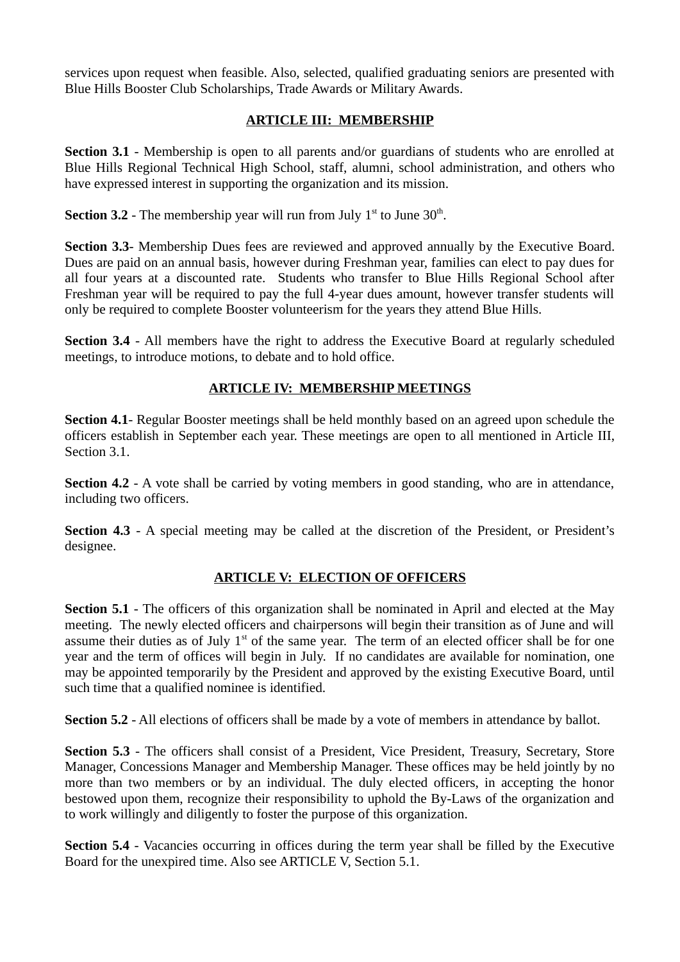services upon request when feasible. Also, selected, qualified graduating seniors are presented with Blue Hills Booster Club Scholarships, Trade Awards or Military Awards.

## **ARTICLE III: MEMBERSHIP**

**Section 3.1** - Membership is open to all parents and/or guardians of students who are enrolled at Blue Hills Regional Technical High School, staff, alumni, school administration, and others who have expressed interest in supporting the organization and its mission.

**Section 3.2** - The membership year will run from July  $1<sup>st</sup>$  to June  $30<sup>th</sup>$ .

**Section 3.3**- Membership Dues fees are reviewed and approved annually by the Executive Board. Dues are paid on an annual basis, however during Freshman year, families can elect to pay dues for all four years at a discounted rate. Students who transfer to Blue Hills Regional School after Freshman year will be required to pay the full 4-year dues amount, however transfer students will only be required to complete Booster volunteerism for the years they attend Blue Hills.

**Section 3.4** - All members have the right to address the Executive Board at regularly scheduled meetings, to introduce motions, to debate and to hold office.

## **ARTICLE IV: MEMBERSHIP MEETINGS**

**Section 4.1**- Regular Booster meetings shall be held monthly based on an agreed upon schedule the officers establish in September each year. These meetings are open to all mentioned in Article III, Section 3.1.

**Section 4.2** - A vote shall be carried by voting members in good standing, who are in attendance, including two officers.

**Section 4.3** - A special meeting may be called at the discretion of the President, or President's designee.

## **ARTICLE V: ELECTION OF OFFICERS**

**Section 5.1** - The officers of this organization shall be nominated in April and elected at the May meeting. The newly elected officers and chairpersons will begin their transition as of June and will assume their duties as of July  $1<sup>st</sup>$  of the same year. The term of an elected officer shall be for one year and the term of offices will begin in July. If no candidates are available for nomination, one may be appointed temporarily by the President and approved by the existing Executive Board, until such time that a qualified nominee is identified.

**Section 5.2** - All elections of officers shall be made by a vote of members in attendance by ballot.

Section 5.3 - The officers shall consist of a President, Vice President, Treasury, Secretary, Store Manager, Concessions Manager and Membership Manager. These offices may be held jointly by no more than two members or by an individual. The duly elected officers, in accepting the honor bestowed upon them, recognize their responsibility to uphold the By-Laws of the organization and to work willingly and diligently to foster the purpose of this organization.

**Section 5.4** - Vacancies occurring in offices during the term year shall be filled by the Executive Board for the unexpired time. Also see ARTICLE V, Section 5.1.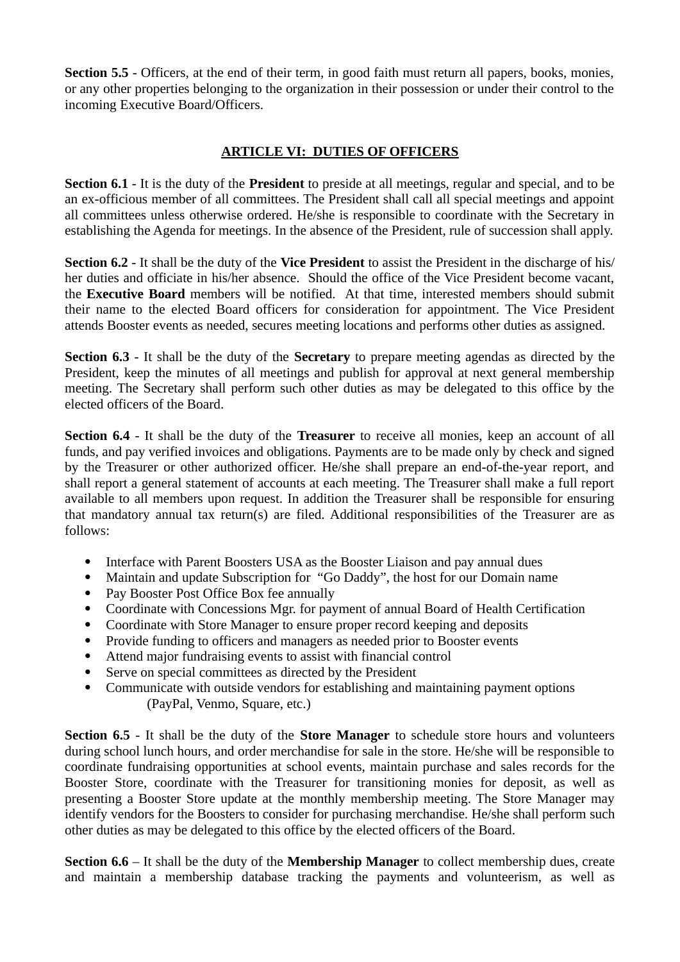**Section 5.5** - Officers, at the end of their term, in good faith must return all papers, books, monies, or any other properties belonging to the organization in their possession or under their control to the incoming Executive Board/Officers.

## **ARTICLE VI: DUTIES OF OFFICERS**

**Section 6.1** - It is the duty of the **President** to preside at all meetings, regular and special, and to be an ex-officious member of all committees. The President shall call all special meetings and appoint all committees unless otherwise ordered. He/she is responsible to coordinate with the Secretary in establishing the Agenda for meetings. In the absence of the President, rule of succession shall apply.

**Section 6.2** - It shall be the duty of the **Vice President** to assist the President in the discharge of his/ her duties and officiate in his/her absence. Should the office of the Vice President become vacant, the **Executive Board** members will be notified. At that time, interested members should submit their name to the elected Board officers for consideration for appointment. The Vice President attends Booster events as needed, secures meeting locations and performs other duties as assigned.

**Section 6.3** - It shall be the duty of the **Secretary** to prepare meeting agendas as directed by the President, keep the minutes of all meetings and publish for approval at next general membership meeting. The Secretary shall perform such other duties as may be delegated to this office by the elected officers of the Board.

**Section 6.4** - It shall be the duty of the **Treasurer** to receive all monies, keep an account of all funds, and pay verified invoices and obligations. Payments are to be made only by check and signed by the Treasurer or other authorized officer. He/she shall prepare an end-of-the-year report, and shall report a general statement of accounts at each meeting. The Treasurer shall make a full report available to all members upon request. In addition the Treasurer shall be responsible for ensuring that mandatory annual tax return(s) are filed. Additional responsibilities of the Treasurer are as follows:

- Interface with Parent Boosters USA as the Booster Liaison and pay annual dues
- Maintain and update Subscription for "Go Daddy", the host for our Domain name
- Pay Booster Post Office Box fee annually
- Coordinate with Concessions Mgr. for payment of annual Board of Health Certification
- Coordinate with Store Manager to ensure proper record keeping and deposits
- Provide funding to officers and managers as needed prior to Booster events
- Attend major fundraising events to assist with financial control
- Serve on special committees as directed by the President
- Communicate with outside vendors for establishing and maintaining payment options (PayPal, Venmo, Square, etc.)

**Section 6.5** - It shall be the duty of the **Store Manager** to schedule store hours and volunteers during school lunch hours, and order merchandise for sale in the store. He/she will be responsible to coordinate fundraising opportunities at school events, maintain purchase and sales records for the Booster Store, coordinate with the Treasurer for transitioning monies for deposit, as well as presenting a Booster Store update at the monthly membership meeting. The Store Manager may identify vendors for the Boosters to consider for purchasing merchandise. He/she shall perform such other duties as may be delegated to this office by the elected officers of the Board.

**Section 6.6** – It shall be the duty of the **Membership Manager** to collect membership dues, create and maintain a membership database tracking the payments and volunteerism, as well as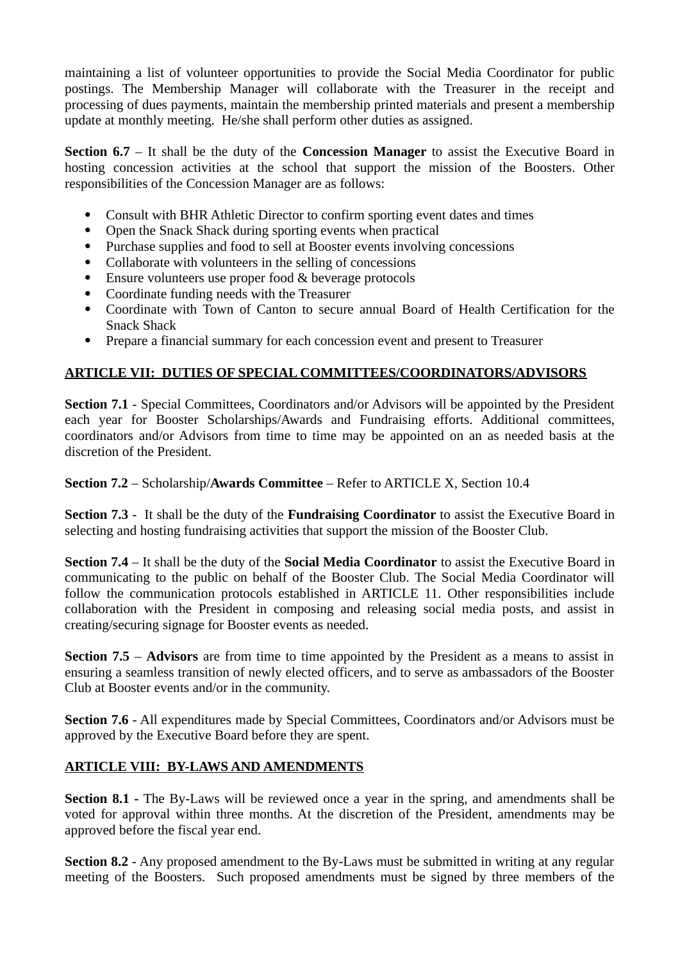maintaining a list of volunteer opportunities to provide the Social Media Coordinator for public postings. The Membership Manager will collaborate with the Treasurer in the receipt and processing of dues payments, maintain the membership printed materials and present a membership update at monthly meeting. He/she shall perform other duties as assigned.

**Section 6.7** – It shall be the duty of the **Concession Manager** to assist the Executive Board in hosting concession activities at the school that support the mission of the Boosters. Other responsibilities of the Concession Manager are as follows:

- Consult with BHR Athletic Director to confirm sporting event dates and times
- Open the Snack Shack during sporting events when practical
- Purchase supplies and food to sell at Booster events involving concessions
- Collaborate with volunteers in the selling of concessions
- Ensure volunteers use proper food & beverage protocols
- Coordinate funding needs with the Treasurer
- Coordinate with Town of Canton to secure annual Board of Health Certification for the Snack Shack
- Prepare a financial summary for each concession event and present to Treasurer

## **ARTICLE VII: DUTIES OF SPECIAL COMMITTEES/COORDINATORS/ADVISORS**

**Section 7.1** - Special Committees, Coordinators and/or Advisors will be appointed by the President each year for Booster Scholarships/Awards and Fundraising efforts. Additional committees, coordinators and/or Advisors from time to time may be appointed on an as needed basis at the discretion of the President.

**Section 7.2** – Scholarship/**Awards Committee** – Refer to ARTICLE X, Section 10.4

**Section 7.3** - It shall be the duty of the **Fundraising Coordinator** to assist the Executive Board in selecting and hosting fundraising activities that support the mission of the Booster Club.

**Section 7.4** – It shall be the duty of the **Social Media Coordinator** to assist the Executive Board in communicating to the public on behalf of the Booster Club. The Social Media Coordinator will follow the communication protocols established in ARTICLE 11. Other responsibilities include collaboration with the President in composing and releasing social media posts, and assist in creating/securing signage for Booster events as needed.

**Section 7.5** – **Advisors** are from time to time appointed by the President as a means to assist in ensuring a seamless transition of newly elected officers, and to serve as ambassadors of the Booster Club at Booster events and/or in the community.

**Section 7.6** - All expenditures made by Special Committees, Coordinators and/or Advisors must be approved by the Executive Board before they are spent.

## **ARTICLE VIII: BY-LAWS AND AMENDMENTS**

**Section 8.1 -** The By-Laws will be reviewed once a year in the spring, and amendments shall be voted for approval within three months. At the discretion of the President, amendments may be approved before the fiscal year end.

**Section 8.2** - Any proposed amendment to the By-Laws must be submitted in writing at any regular meeting of the Boosters. Such proposed amendments must be signed by three members of the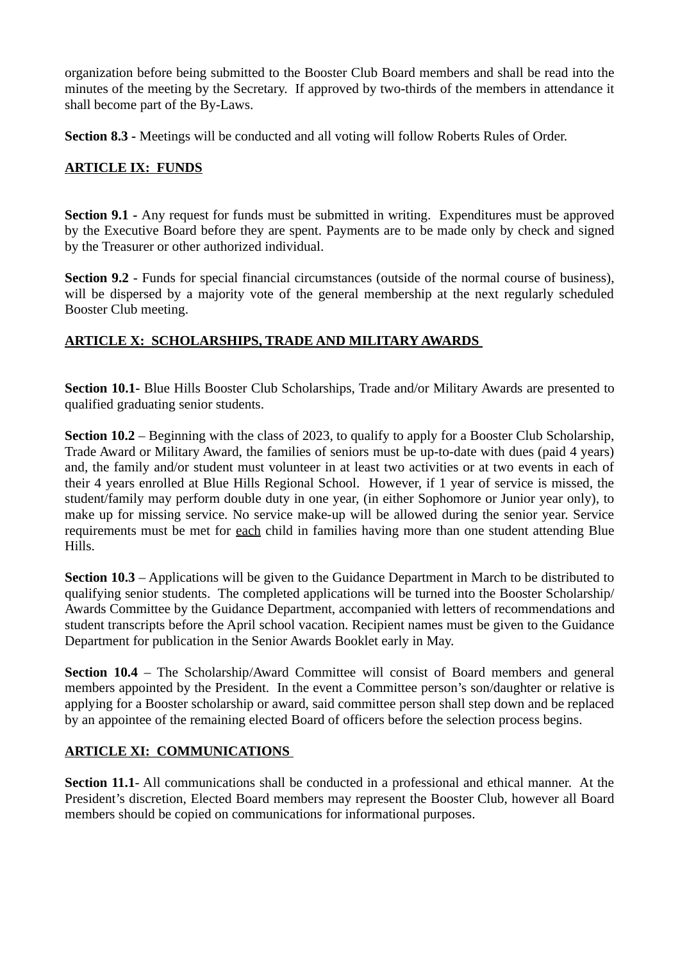organization before being submitted to the Booster Club Board members and shall be read into the minutes of the meeting by the Secretary. If approved by two-thirds of the members in attendance it shall become part of the By-Laws.

**Section 8.3 -** Meetings will be conducted and all voting will follow Roberts Rules of Order.

#### **ARTICLE IX: FUNDS**

**Section 9.1 -** Any request for funds must be submitted in writing. Expenditures must be approved by the Executive Board before they are spent. Payments are to be made only by check and signed by the Treasurer or other authorized individual.

**Section 9.2** - Funds for special financial circumstances (outside of the normal course of business), will be dispersed by a majority vote of the general membership at the next regularly scheduled Booster Club meeting.

## **ARTICLE X: SCHOLARSHIPS, TRADE AND MILITARY AWARDS**

**Section 10.1-** Blue Hills Booster Club Scholarships, Trade and/or Military Awards are presented to qualified graduating senior students.

**Section 10.2** – Beginning with the class of 2023, to qualify to apply for a Booster Club Scholarship, Trade Award or Military Award, the families of seniors must be up-to-date with dues (paid 4 years) and, the family and/or student must volunteer in at least two activities or at two events in each of their 4 years enrolled at Blue Hills Regional School. However, if 1 year of service is missed, the student/family may perform double duty in one year, (in either Sophomore or Junior year only), to make up for missing service. No service make-up will be allowed during the senior year. Service requirements must be met for each child in families having more than one student attending Blue Hills.

**Section 10.3** – Applications will be given to the Guidance Department in March to be distributed to qualifying senior students. The completed applications will be turned into the Booster Scholarship/ Awards Committee by the Guidance Department, accompanied with letters of recommendations and student transcripts before the April school vacation. Recipient names must be given to the Guidance Department for publication in the Senior Awards Booklet early in May.

**Section 10.4** – The Scholarship/Award Committee will consist of Board members and general members appointed by the President. In the event a Committee person's son/daughter or relative is applying for a Booster scholarship or award, said committee person shall step down and be replaced by an appointee of the remaining elected Board of officers before the selection process begins.

## **ARTICLE XI: COMMUNICATIONS**

**Section 11.1**- All communications shall be conducted in a professional and ethical manner. At the President's discretion, Elected Board members may represent the Booster Club, however all Board members should be copied on communications for informational purposes.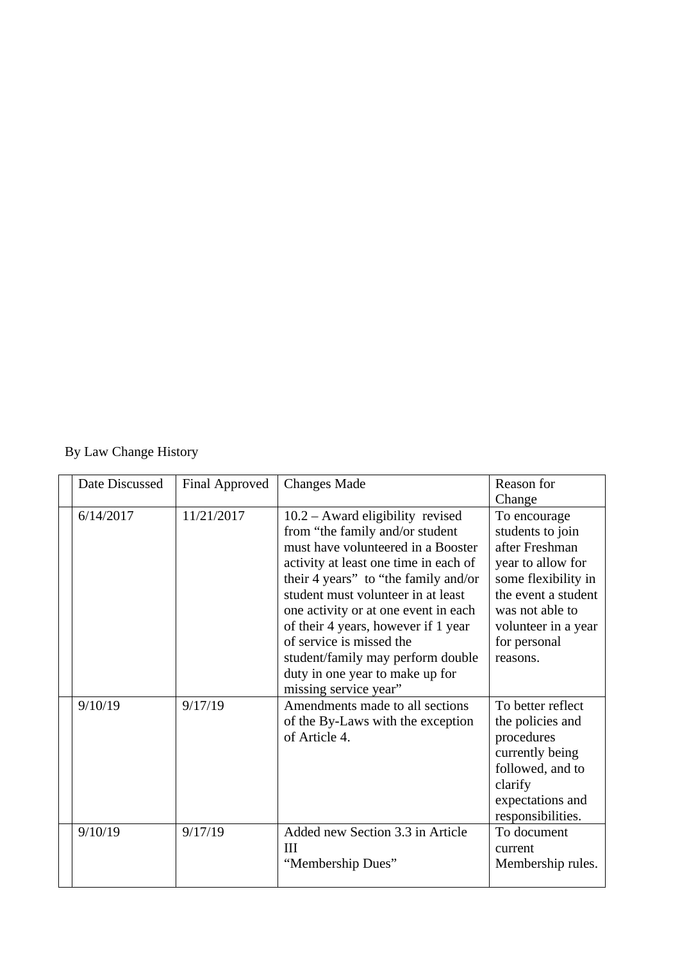# By Law Change History

| Date Discussed | <b>Final Approved</b> | <b>Changes Made</b>                   | Reason for          |
|----------------|-----------------------|---------------------------------------|---------------------|
|                |                       |                                       | Change              |
| 6/14/2017      | 11/21/2017            | $10.2 -$ Award eligibility revised    | To encourage        |
|                |                       | from "the family and/or student       | students to join    |
|                |                       | must have volunteered in a Booster    | after Freshman      |
|                |                       | activity at least one time in each of | year to allow for   |
|                |                       | their 4 years" to "the family and/or  | some flexibility in |
|                |                       | student must volunteer in at least    | the event a student |
|                |                       | one activity or at one event in each  | was not able to     |
|                |                       | of their 4 years, however if 1 year   | volunteer in a year |
|                |                       | of service is missed the              | for personal        |
|                |                       | student/family may perform double     | reasons.            |
|                |                       | duty in one year to make up for       |                     |
|                |                       | missing service year"                 |                     |
| 9/10/19        | 9/17/19               | Amendments made to all sections       | To better reflect   |
|                |                       | of the By-Laws with the exception     | the policies and    |
|                |                       | of Article 4.                         | procedures          |
|                |                       |                                       | currently being     |
|                |                       |                                       | followed, and to    |
|                |                       |                                       | clarify             |
|                |                       |                                       | expectations and    |
|                |                       |                                       | responsibilities.   |
| 9/10/19        | 9/17/19               | Added new Section 3.3 in Article      | To document         |
|                |                       | Ш                                     | current             |
|                |                       | "Membership Dues"                     | Membership rules.   |
|                |                       |                                       |                     |